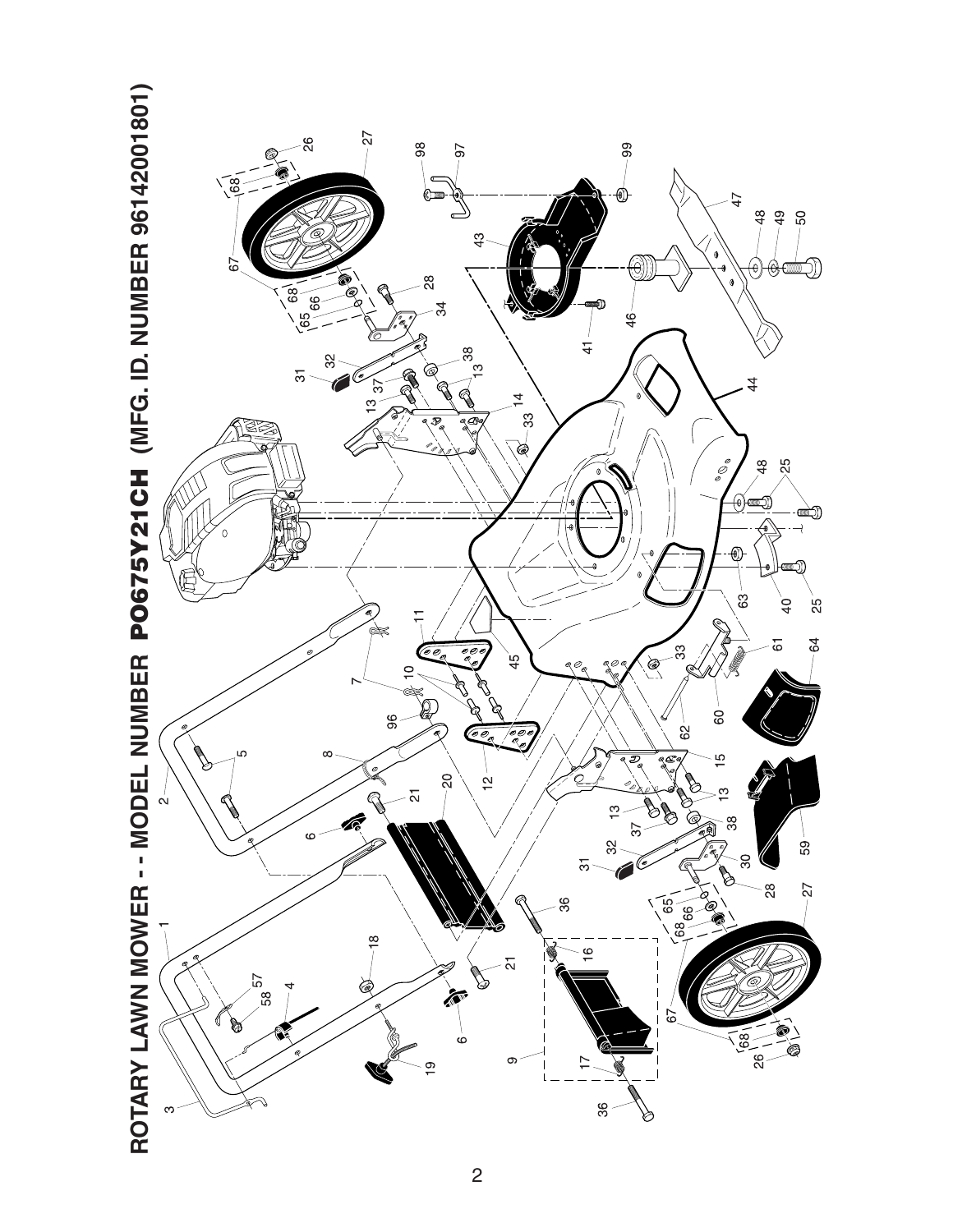

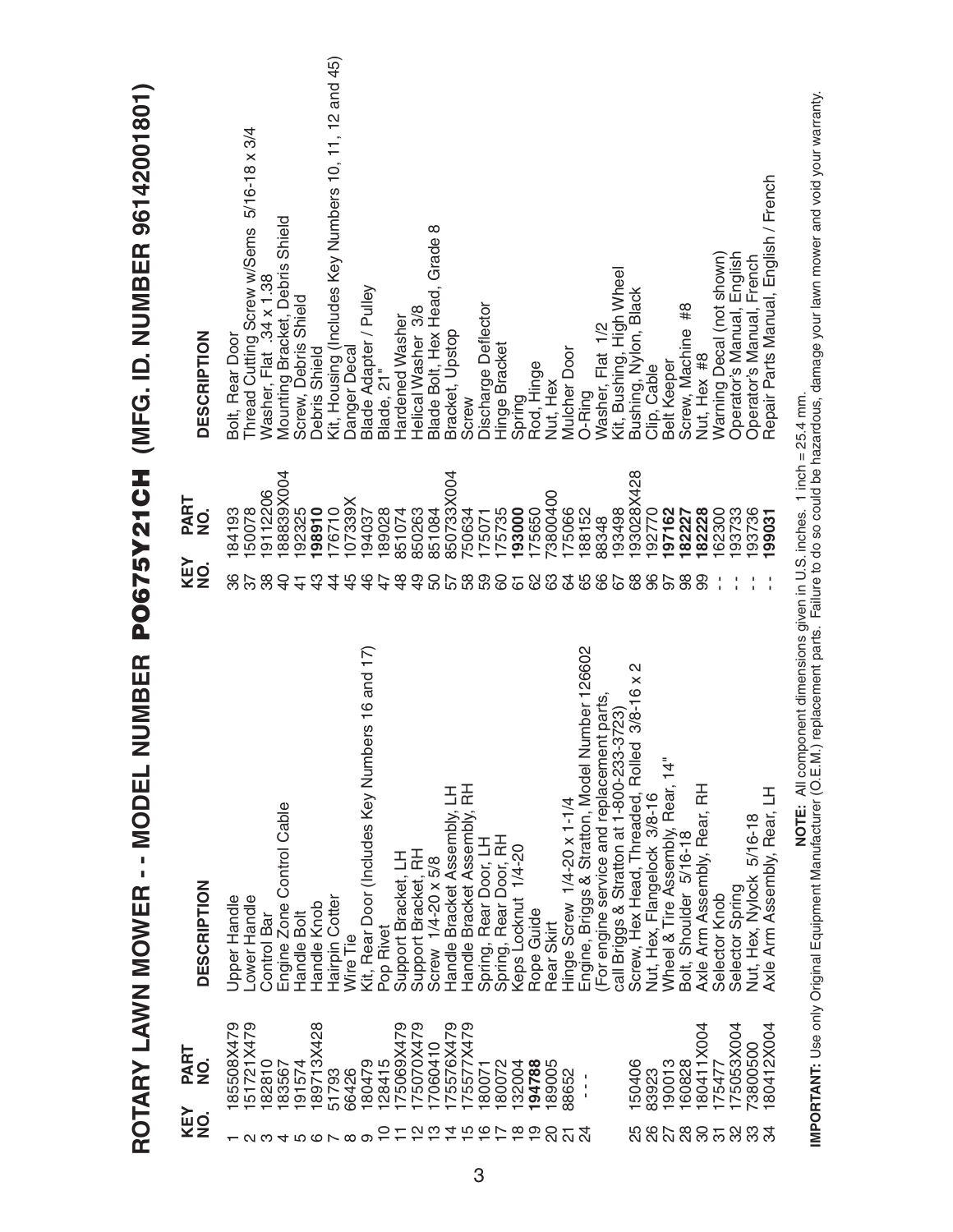|                                                                    |                               | NUMBER<br>ROTARY LAWN MOWER - - MODEL                                                                                                                                                                                                        |                             | PO675Y21CH (MFG. ID. NUMBER 96142001801               |
|--------------------------------------------------------------------|-------------------------------|----------------------------------------------------------------------------------------------------------------------------------------------------------------------------------------------------------------------------------------------|-----------------------------|-------------------------------------------------------|
| KEY<br>NO.                                                         | PART<br>$\frac{1}{2}$         | <b>DESCRIPTION</b>                                                                                                                                                                                                                           | PART<br>NO.<br>KEY<br>NO.   | <b>DESCRIPTION</b>                                    |
|                                                                    | 85508X479                     | Upper Handle                                                                                                                                                                                                                                 | 84193<br>86                 | Bolt, Rear Door                                       |
|                                                                    | 51721X479                     | Lower Handle                                                                                                                                                                                                                                 | 50078<br>57                 | Thread Cutting Screw w/Sems 5/16-18 x 3/4             |
| လ က                                                                | 182810                        | Control Bar                                                                                                                                                                                                                                  | 9112206<br>38               | Washer, Flat .34 x 1.38                               |
| 4                                                                  | 183567                        | Engine Zone Control Cable                                                                                                                                                                                                                    | 88839X004<br>$\overline{Q}$ | Mounting Bracket, Debris Shield                       |
| rU)                                                                | 91574                         | Handle Bolt                                                                                                                                                                                                                                  | 92325<br>$\frac{4}{3}$      | Screw, Debris Shield                                  |
| $\circ$ $\sim$                                                     | 89713X428                     | Handle Knob                                                                                                                                                                                                                                  | 98910<br>ဒ္                 | Debris Shield                                         |
|                                                                    | 51793                         | Hairpin Cotter                                                                                                                                                                                                                               | 76710<br>4                  | Kit, Housing (Includes Key Numbers 10, 11, 12 and 45) |
| $\infty$                                                           | 66426                         | Wire Tie                                                                                                                                                                                                                                     | 07339X<br>45                | Danger Decal                                          |
| တ                                                                  | 180479                        | Kit, Rear Door (Includes Key Numbers 16 and 17)                                                                                                                                                                                              | 94037<br>$\frac{6}{5}$      | Blade Adapter / Pulley                                |
| 0                                                                  | 28415                         | Pop Rivet                                                                                                                                                                                                                                    | 89028<br>47                 | Blade, 21"                                            |
|                                                                    | 75069X479                     | Support Bracket, LH                                                                                                                                                                                                                          | 851074<br>$\frac{8}{4}$     | Hardened Washer                                       |
|                                                                    | I75070X479                    | Support Bracket, RH                                                                                                                                                                                                                          | 850263<br>$\overline{9}$    | Helical Washer 3/8                                    |
| $\frac{1}{2}$                                                      | 17060410                      | Screw 1/4-20 x 5/8                                                                                                                                                                                                                           | 851084<br>50                | Blade Bolt, Hex Head, Grade 8                         |
|                                                                    | 175576X479                    | Handle Bracket Assembly, LH                                                                                                                                                                                                                  | 850733X004<br>57            | Bracket, Upstop                                       |
| $\overline{4} \overline{1} \overline{0} \overline{0} \overline{1}$ | 75577X479                     | Handle Bracket Assembly, RH                                                                                                                                                                                                                  | '50634<br>58                | Screw                                                 |
|                                                                    | 80071                         | Spring, Rear Door, LH                                                                                                                                                                                                                        | 175071                      | Discharge Deflector                                   |
|                                                                    | 180072                        | Spring, Rear Door, RH                                                                                                                                                                                                                        | 175735<br>60                | Hinge Bracket                                         |
| $\frac{8}{1}$                                                      | 32004                         | Keps Locknut 1/4-20                                                                                                                                                                                                                          | 93000<br>$\overline{6}$     | Spring<br>Rod, Hinge                                  |
| $\frac{1}{2}$                                                      | 194788                        | Rope Guide                                                                                                                                                                                                                                   | 75650<br>88                 |                                                       |
| SO                                                                 | 89005                         | Rear Skirt                                                                                                                                                                                                                                   | 3800400                     | Nut, Hex                                              |
| $\overline{\Omega}$                                                | 88652                         | Hinge Screw 1/4-20 x 1-1/4                                                                                                                                                                                                                   | 75066<br>64                 | <b>Mulcher Door</b>                                   |
| $\overline{z}$                                                     | $\frac{1}{1}$<br>$\mathbf{I}$ | Number 126602<br>Engine, Briggs & Stratton, Model                                                                                                                                                                                            | 88152<br>65                 | O-Ring                                                |
|                                                                    |                               | (For engine service and replacement parts                                                                                                                                                                                                    | 88348<br>89                 | Washer, Flat 1/2                                      |
|                                                                    |                               | call Briggs & Stratton at 1-800-233-3723)                                                                                                                                                                                                    | 93498<br>67                 | Kit, Bushing, High Wheel                              |
| 5<br>28<br>28                                                      | 150406                        | N<br>Screw, Hex Head, Threaded, Rolled 3/8-16 x                                                                                                                                                                                              | 93028X428<br>89             | Bushing, Nylon, Black                                 |
|                                                                    | 83923                         | Nut, Hex, Flangelock 3/8-16                                                                                                                                                                                                                  | 192770<br>96                | Clip, Cable                                           |
|                                                                    | 190013                        | Wheel & Tire Assembly, Rear, 14"                                                                                                                                                                                                             | 97162<br>56                 | <b>Belt Keeper</b>                                    |
| $^{28}$                                                            | 160828                        | Bolt, Shoulder 5/16-18                                                                                                                                                                                                                       | 82227<br>88                 | #8<br>Screw, Machine                                  |
| 80                                                                 | 80411X004                     | Axle Arm Assembly, Rear, RH                                                                                                                                                                                                                  | 82228<br>8                  | Nut, Hex #8                                           |
| $\overline{5}$                                                     | 175477                        | Selector Knob                                                                                                                                                                                                                                | 62300                       | Warning Decal (not shown)                             |
| 32                                                                 | 175053X004                    | Selector Spring                                                                                                                                                                                                                              | 93733                       | Operator's Manual, English                            |
| 33                                                                 | 73800500                      | Nut, Hex, Nylock 5/16-18                                                                                                                                                                                                                     | 93736                       | Operator's Manual, French                             |
| ನೆ                                                                 | 80412X004                     | Axle Arm Assembly, Rear, LH                                                                                                                                                                                                                  | 99031                       | Repair Parts Manual, English / French                 |
|                                                                    |                               | <b>IMPORTANT:</b> Use only Original Equipment Manufacturer (O.E.M.) replacement parts. Failure to do so could be hazardous, damage your lawn mower and void your warranty.<br>IMP <b>ORTANT:</b> Use only Original Equipment Manufacturer (O |                             |                                                       |
|                                                                    |                               |                                                                                                                                                                                                                                              |                             |                                                       |

3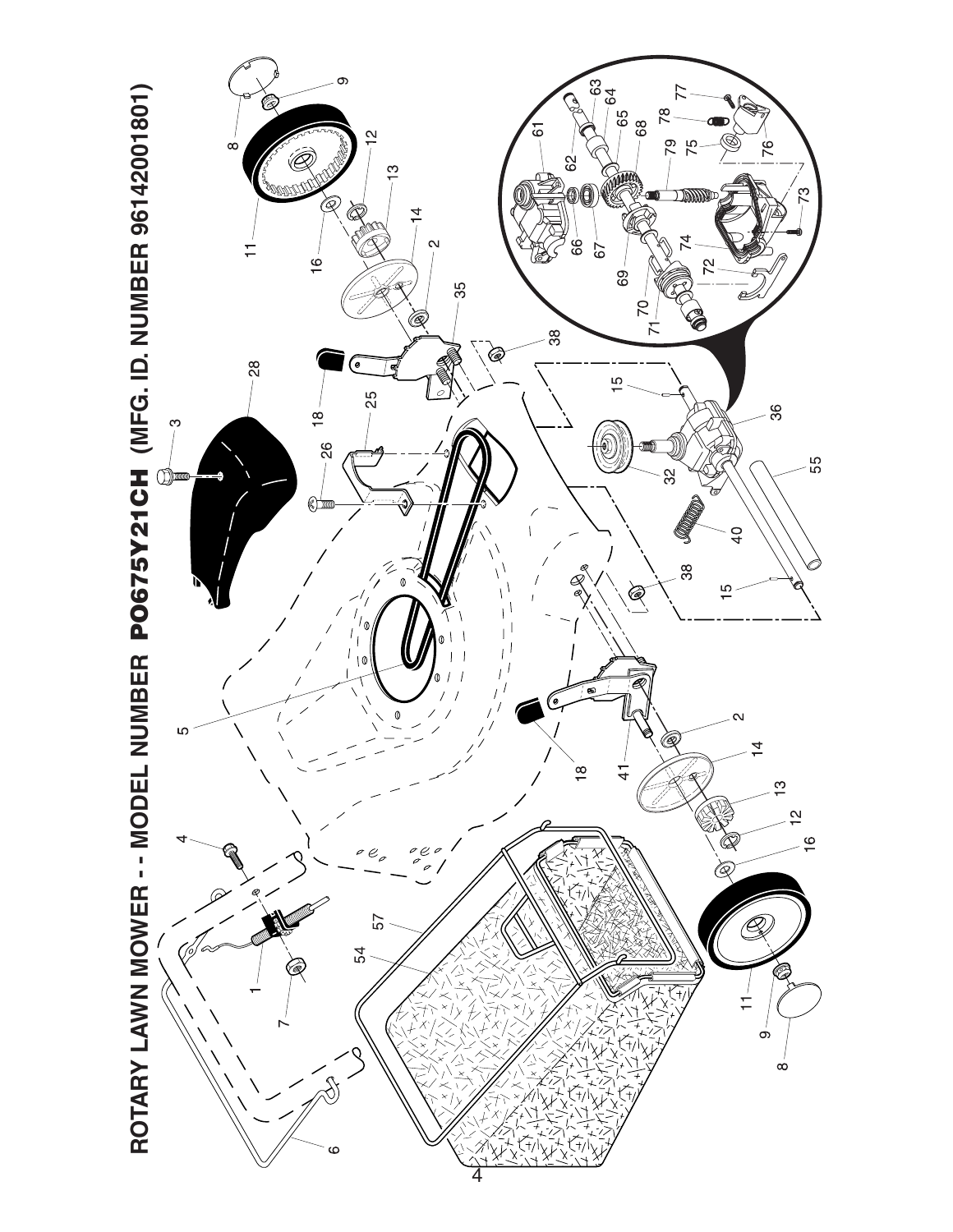